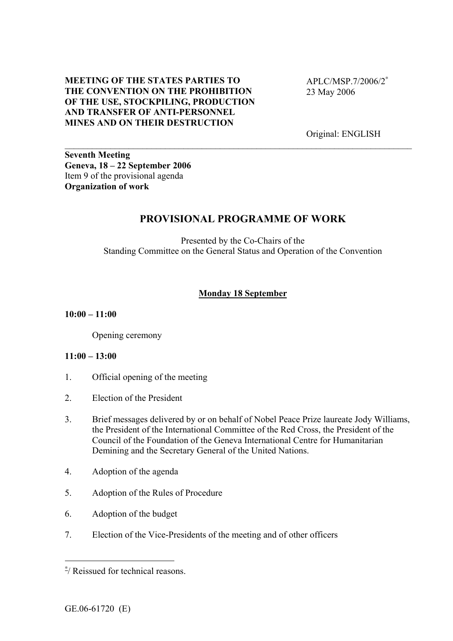### **MEETING OF THE STATES PARTIES TO THE CONVENTION ON THE PROHIBITION OF THE USE, STOCKPILING, PRODUCTION AND TRANSFER OF ANTI-PERSONNEL MINES AND ON THEIR DESTRUCTION**

APLC/MSP.7/2006/2[∗](#page-0-0) 23 May 2006

Original: ENGLISH

**Seventh Meeting Geneva, 18 – 22 September 2006**  Item 9 of the provisional agenda **Organization of work** 

# **PROVISIONAL PROGRAMME OF WORK**

 $\_$  , and the contribution of the contribution of the contribution of the contribution of  $\mathcal{L}_\mathcal{A}$ 

Presented by the Co-Chairs of the Standing Committee on the General Status and Operation of the Convention

## **Monday 18 September**

#### **10:00 – 11:00**

Opening ceremony

### **11:00 – 13:00**

- 1. Official opening of the meeting
- 2. Election of the President
- 3. Brief messages delivered by or on behalf of Nobel Peace Prize laureate Jody Williams, the President of the International Committee of the Red Cross, the President of the Council of the Foundation of the Geneva International Centre for Humanitarian Demining and the Secretary General of the United Nations.
- 4. Adoption of the agenda
- 5. Adoption of the Rules of Procedure
- 6. Adoption of the budget
- 7. Election of the Vice-Presidents of the meeting and of other officers

 $\overline{a}$ 

<span id="page-0-0"></span><sup>∗</sup> / Reissued for technical reasons.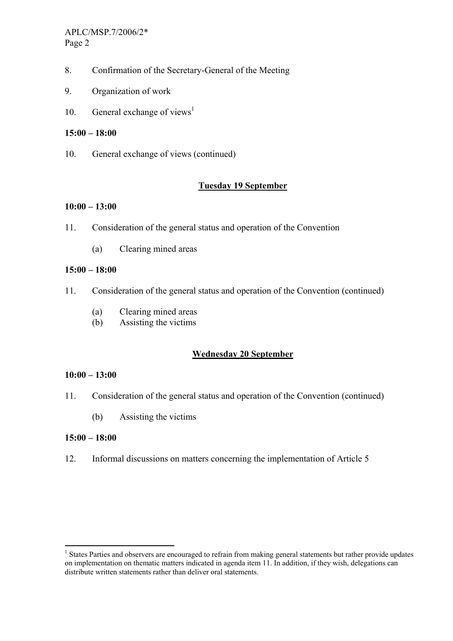- 8. Confirmation of the Secretary-General of the Meeting
- 9. Organization of work
- 10. General exchange of views<sup>1</sup>

### **15:00 – 18:00**

10. General exchange of views (continued)

## **Tuesday 19 September**

### **10:00 – 13:00**

- 11. Consideration of the general status and operation of the Convention
	- (a) Clearing mined areas

### **15:00 – 18:00**

- 11. Consideration of the general status and operation of the Convention (continued)
	- (a) Clearing mined areas
	- (b) Assisting the victims

# **Wednesday 20 September**

### **10:00 – 13:00**

- 11. Consideration of the general status and operation of the Convention (continued)
	- (b) Assisting the victims

### **15:00 – 18:00**

 $\overline{a}$ 

12. Informal discussions on matters concerning the implementation of Article 5

<span id="page-1-0"></span><sup>&</sup>lt;sup>1</sup> States Parties and observers are encouraged to refrain from making general statements but rather provide updates on implementation on thematic matters indicated in agenda item 11. In addition, if they wish, delegations can distribute written statements rather than deliver oral statements.